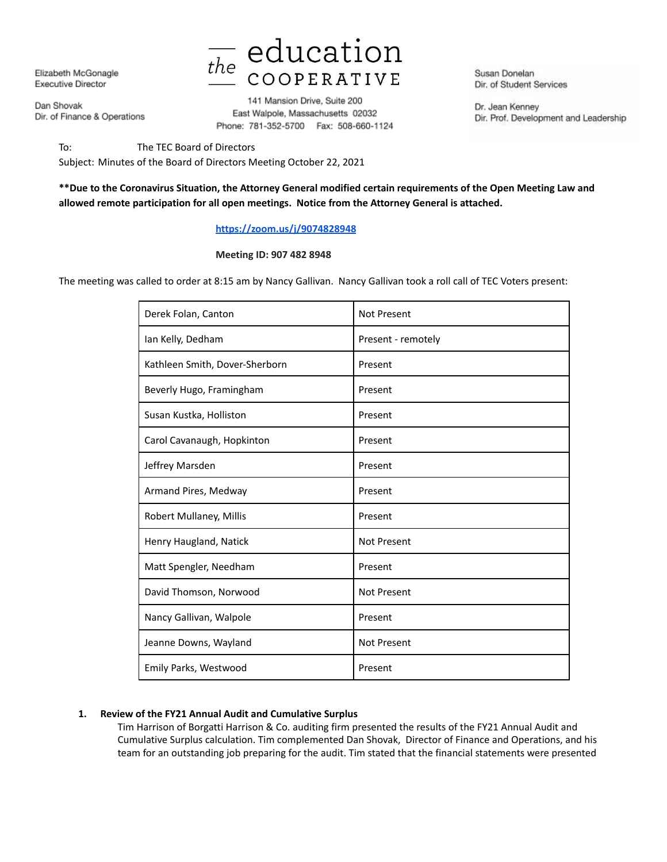Elizabeth McGonagle Executive Director

Dan Shovak Dir. of Finance & Operations



141 Mansion Drive, Suite 200 East Walpole, Massachusetts 02032 Phone: 781-352-5700 Fax: 508-660-1124

Susan Donelan Dir. of Student Services

Dr. Jean Kenney Dir. Prof. Development and Leadership

To: The TEC Board of Directors Subject: Minutes of the Board of Directors Meeting October 22, 2021

# **\*\*Due to the Coronavirus Situation, the Attorney General modified certain requirements of the Open Meeting Law and allowed remote participation for all open meetings. Notice from the Attorney General is attached.**

## **https://zoom.us/j/9074828948**

#### **Meeting ID: 907 482 8948**

The meeting was called to order at 8:15 am by Nancy Gallivan. Nancy Gallivan took a roll call of TEC Voters present:

| Derek Folan, Canton            | Not Present        |
|--------------------------------|--------------------|
| Ian Kelly, Dedham              | Present - remotely |
| Kathleen Smith, Dover-Sherborn | Present            |
| Beverly Hugo, Framingham       | Present            |
| Susan Kustka, Holliston        | Present            |
| Carol Cavanaugh, Hopkinton     | Present            |
| Jeffrey Marsden                | Present            |
| Armand Pires, Medway           | Present            |
| Robert Mullaney, Millis        | Present            |
| Henry Haugland, Natick         | <b>Not Present</b> |
| Matt Spengler, Needham         | Present            |
| David Thomson, Norwood         | Not Present        |
| Nancy Gallivan, Walpole        | Present            |
| Jeanne Downs, Wayland          | <b>Not Present</b> |
| Emily Parks, Westwood          | Present            |

#### **1. Review of the FY21 Annual Audit and Cumulative Surplus**

Tim Harrison of Borgatti Harrison & Co. auditing firm presented the results of the FY21 Annual Audit and Cumulative Surplus calculation. Tim complemented Dan Shovak, Director of Finance and Operations, and his team for an outstanding job preparing for the audit. Tim stated that the financial statements were presented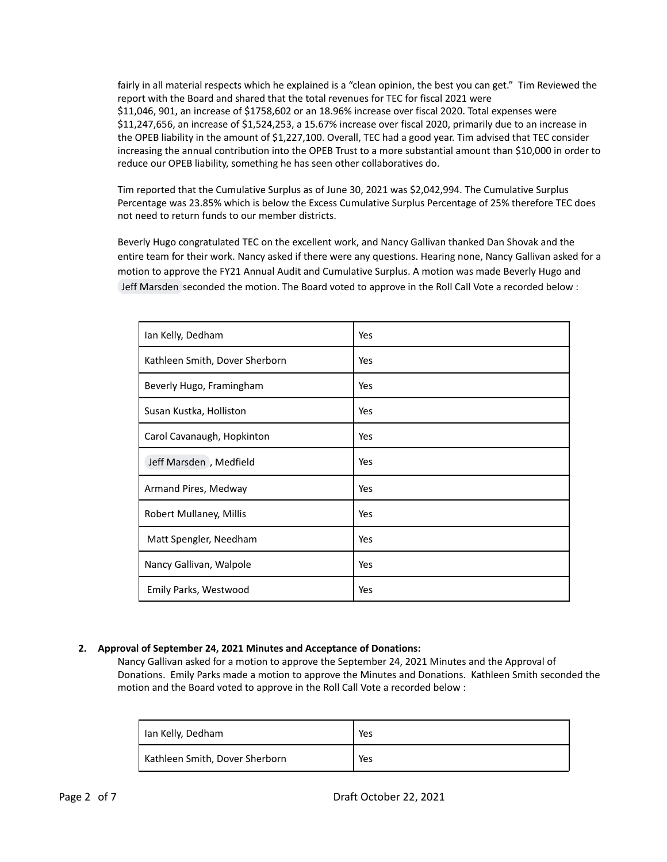fairly in all material respects which he explained is a "clean opinion, the best you can get." Tim Reviewed the report with the Board and shared that the total revenues for TEC for fiscal 2021 were \$11,046, 901, an increase of \$1758,602 or an 18.96% increase over fiscal 2020. Total expenses were \$11,247,656, an increase of \$1,524,253, a 15.67% increase over fiscal 2020, primarily due to an increase in the OPEB liability in the amount of \$1,227,100. Overall, TEC had a good year. Tim advised that TEC consider increasing the annual contribution into the OPEB Trust to a more substantial amount than \$10,000 in order to reduce our OPEB liability, something he has seen other collaboratives do.

Tim reported that the Cumulative Surplus as of June 30, 2021 was \$2,042,994. The Cumulative Surplus Percentage was 23.85% which is below the Excess Cumulative Surplus Percentage of 25% therefore TEC does not need to return funds to our member districts.

Beverly Hugo congratulated TEC on the excellent work, and Nancy Gallivan thanked Dan Shovak and the entire team for their work. Nancy asked if there were any questions. Hearing none, Nancy Gallivan asked for a motion to approve the FY21 Annual Audit and Cumulative Surplus. A motion was made Beverly Hugo and Jeff Marsden seconded the motion. The Board voted to approve in the Roll Call Vote a recorded below :

| Ian Kelly, Dedham              | Yes |
|--------------------------------|-----|
| Kathleen Smith, Dover Sherborn | Yes |
| Beverly Hugo, Framingham       | Yes |
| Susan Kustka, Holliston        | Yes |
| Carol Cavanaugh, Hopkinton     | Yes |
| Jeff Marsden, Medfield         | Yes |
| Armand Pires, Medway           | Yes |
| Robert Mullaney, Millis        | Yes |
| Matt Spengler, Needham         | Yes |
| Nancy Gallivan, Walpole        | Yes |
| Emily Parks, Westwood          | Yes |

## **2. Approval of September 24, 2021 Minutes and Acceptance of Donations:**

Nancy Gallivan asked for a motion to approve the September 24, 2021 Minutes and the Approval of Donations. Emily Parks made a motion to approve the Minutes and Donations. Kathleen Smith seconded the motion and the Board voted to approve in the Roll Call Vote a recorded below :

| Ian Kelly, Dedham              | Yes |
|--------------------------------|-----|
| Kathleen Smith, Dover Sherborn | Yes |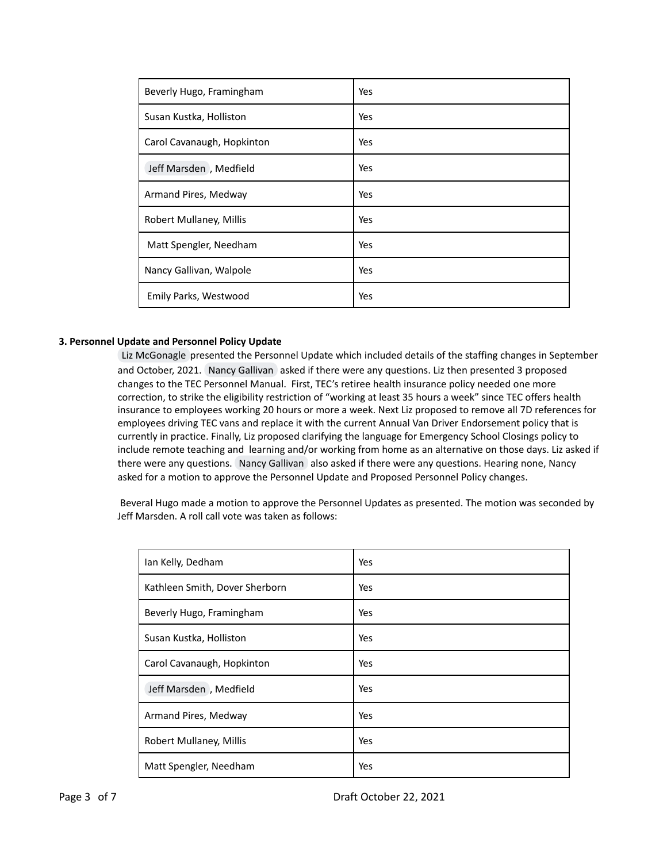| Beverly Hugo, Framingham   | Yes |
|----------------------------|-----|
| Susan Kustka, Holliston    | Yes |
| Carol Cavanaugh, Hopkinton | Yes |
| Jeff Marsden, Medfield     | Yes |
| Armand Pires, Medway       | Yes |
| Robert Mullaney, Millis    | Yes |
| Matt Spengler, Needham     | Yes |
| Nancy Gallivan, Walpole    | Yes |
| Emily Parks, Westwood      | Yes |

#### **3. Personnel Update and Personnel Policy Update**

Liz McGonagle presented the Personnel Update which included details of the staffing changes in September and October, 2021. Nancy Gallivan asked if there were any questions. Liz then presented 3 proposed changes to the TEC Personnel Manual. First, TEC's retiree health insurance policy needed one more correction, to strike the eligibility restriction of "working at least 35 hours a week" since TEC offers health insurance to employees working 20 hours or more a week. Next Liz proposed to remove all 7D references for employees driving TEC vans and replace it with the current Annual Van Driver Endorsement policy that is currently in practice. Finally, Liz proposed clarifying the language for Emergency School Closings policy to include remote teaching and learning and/or working from home as an alternative on those days. Liz asked if there were any questions. Nancy Gallivan also asked if there were any questions. Hearing none, Nancy asked for a motion to approve the Personnel Update and Proposed Personnel Policy changes.

Beveral Hugo made a motion to approve the Personnel Updates as presented. The motion was seconded by Jeff Marsden. A roll call vote was taken as follows:

| Ian Kelly, Dedham              | Yes |
|--------------------------------|-----|
| Kathleen Smith, Dover Sherborn | Yes |
| Beverly Hugo, Framingham       | Yes |
| Susan Kustka, Holliston        | Yes |
| Carol Cavanaugh, Hopkinton     | Yes |
| Jeff Marsden, Medfield         | Yes |
| Armand Pires, Medway           | Yes |
| Robert Mullaney, Millis        | Yes |
| Matt Spengler, Needham         | Yes |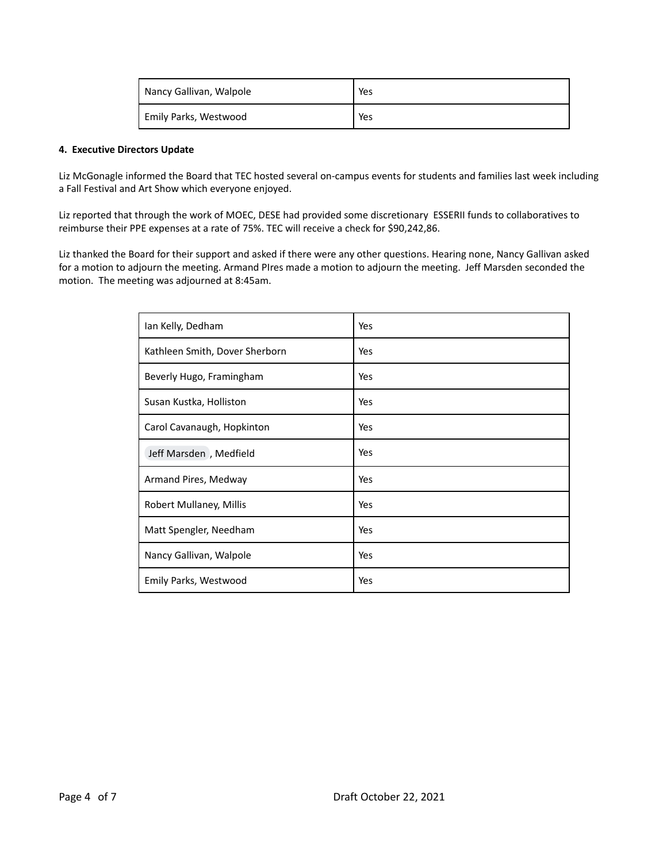| Nancy Gallivan, Walpole | Yes |
|-------------------------|-----|
| Emily Parks, Westwood   | Yes |

## **4. Executive Directors Update**

Liz McGonagle informed the Board that TEC hosted several on-campus events for students and families last week including a Fall Festival and Art Show which everyone enjoyed.

Liz reported that through the work of MOEC, DESE had provided some discretionary ESSERII funds to collaboratives to reimburse their PPE expenses at a rate of 75%. TEC will receive a check for \$90,242,86.

Liz thanked the Board for their support and asked if there were any other questions. Hearing none, Nancy Gallivan asked for a motion to adjourn the meeting. Armand PIres made a motion to adjourn the meeting. Jeff Marsden seconded the motion. The meeting was adjourned at 8:45am.

| Ian Kelly, Dedham              | Yes |
|--------------------------------|-----|
| Kathleen Smith, Dover Sherborn | Yes |
| Beverly Hugo, Framingham       | Yes |
| Susan Kustka, Holliston        | Yes |
| Carol Cavanaugh, Hopkinton     | Yes |
| Jeff Marsden, Medfield         | Yes |
| Armand Pires, Medway           | Yes |
| Robert Mullaney, Millis        | Yes |
| Matt Spengler, Needham         | Yes |
| Nancy Gallivan, Walpole        | Yes |
| Emily Parks, Westwood          | Yes |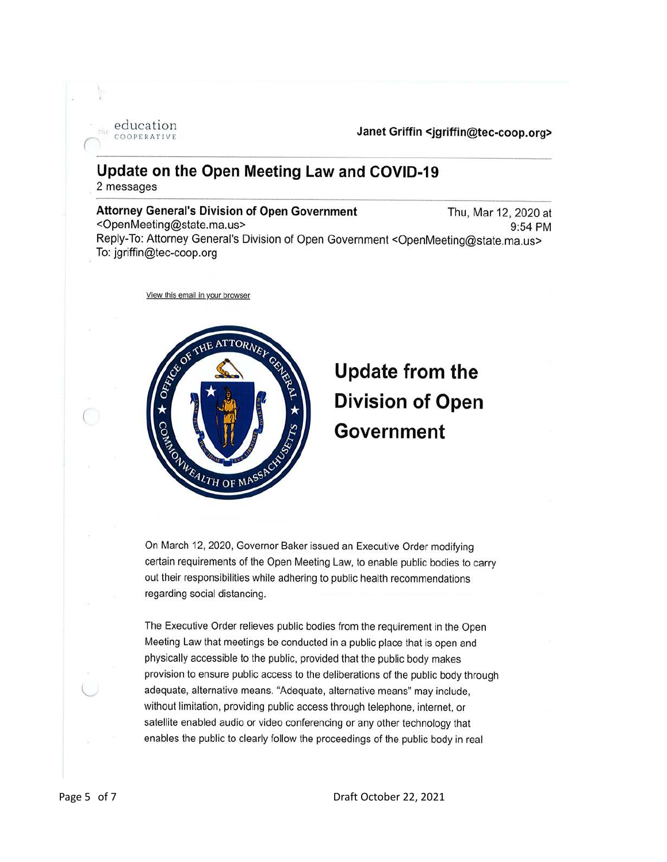education COOPERATIVE

Janet Griffin <jgriffin@tec-coop.org>

# Update on the Open Meeting Law and COVID-19 2 messages

**Attorney General's Division of Open Government** Thu, Mar 12, 2020 at <OpenMeeting@state.ma.us> 9:54 PM Reply-To: Attorney General's Division of Open Government <OpenMeeting@state.ma.us> To: jgriffin@tec-coop.org

View this email in your browser



# **Update from the Division of Open Government**

On March 12, 2020, Governor Baker issued an Executive Order modifying certain requirements of the Open Meeting Law, to enable public bodies to carry out their responsibilities while adhering to public health recommendations regarding social distancing.

The Executive Order relieves public bodies from the requirement in the Open Meeting Law that meetings be conducted in a public place that is open and physically accessible to the public, provided that the public body makes provision to ensure public access to the deliberations of the public body through adequate, alternative means. "Adequate, alternative means" may include, without limitation, providing public access through telephone, internet, or satellite enabled audio or video conferencing or any other technology that enables the public to clearly follow the proceedings of the public body in real